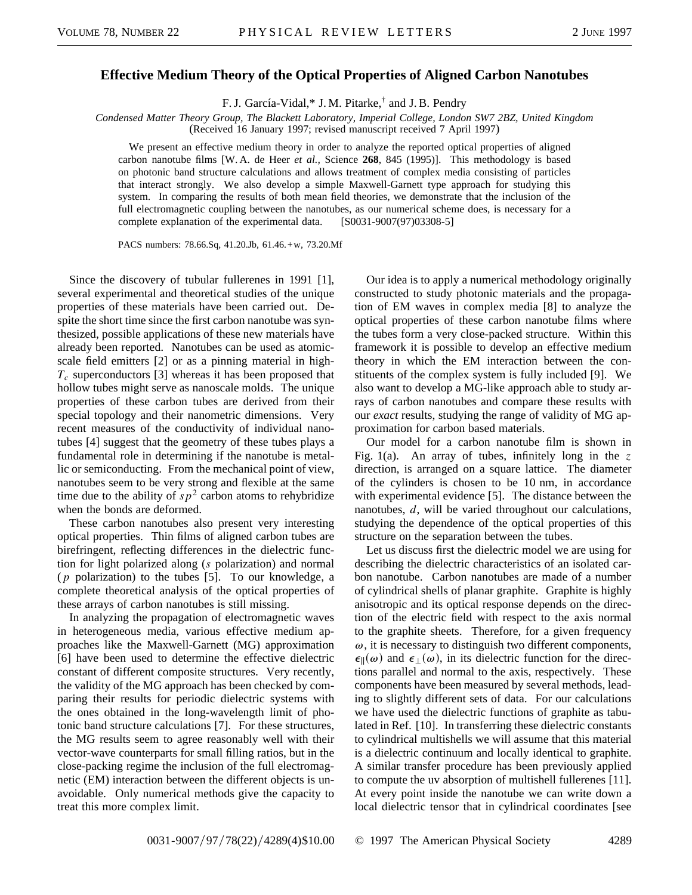## **Effective Medium Theory of the Optical Properties of Aligned Carbon Nanotubes**

F. J. García-Vidal,\* J. M. Pitarke,<sup>†</sup> and J. B. Pendry

*Condensed Matter Theory Group, The Blackett Laboratory, Imperial College, London SW7 2BZ, United Kingdom* (Received 16 January 1997; revised manuscript received 7 April 1997)

We present an effective medium theory in order to analyze the reported optical properties of aligned carbon nanotube films [W. A. de Heer *et al.,* Science **268**, 845 (1995)]. This methodology is based on photonic band structure calculations and allows treatment of complex media consisting of particles that interact strongly. We also develop a simple Maxwell-Garnett type approach for studying this system. In comparing the results of both mean field theories, we demonstrate that the inclusion of the full electromagnetic coupling between the nanotubes, as our numerical scheme does, is necessary for a complete explanation of the experimental data. [S0031-9007(97)03308-5]

PACS numbers: 78.66.Sq, 41.20.Jb, 61.46.+w, 73.20.Mf

Since the discovery of tubular fullerenes in 1991 [1], several experimental and theoretical studies of the unique properties of these materials have been carried out. Despite the short time since the first carbon nanotube was synthesized, possible applications of these new materials have already been reported. Nanotubes can be used as atomicscale field emitters [2] or as a pinning material in high- $T_c$  superconductors [3] whereas it has been proposed that hollow tubes might serve as nanoscale molds. The unique properties of these carbon tubes are derived from their special topology and their nanometric dimensions. Very recent measures of the conductivity of individual nanotubes [4] suggest that the geometry of these tubes plays a fundamental role in determining if the nanotube is metallic or semiconducting. From the mechanical point of view, nanotubes seem to be very strong and flexible at the same time due to the ability of  $sp^2$  carbon atoms to rehybridize when the bonds are deformed.

These carbon nanotubes also present very interesting optical properties. Thin films of aligned carbon tubes are birefringent, reflecting differences in the dielectric function for light polarized along (*s* polarization) and normal (*p* polarization) to the tubes [5]. To our knowledge, a complete theoretical analysis of the optical properties of these arrays of carbon nanotubes is still missing.

In analyzing the propagation of electromagnetic waves in heterogeneous media, various effective medium approaches like the Maxwell-Garnett (MG) approximation [6] have been used to determine the effective dielectric constant of different composite structures. Very recently, the validity of the MG approach has been checked by comparing their results for periodic dielectric systems with the ones obtained in the long-wavelength limit of photonic band structure calculations [7]. For these structures, the MG results seem to agree reasonably well with their vector-wave counterparts for small filling ratios, but in the close-packing regime the inclusion of the full electromagnetic (EM) interaction between the different objects is unavoidable. Only numerical methods give the capacity to treat this more complex limit.

Our idea is to apply a numerical methodology originally constructed to study photonic materials and the propagation of EM waves in complex media [8] to analyze the optical properties of these carbon nanotube films where the tubes form a very close-packed structure. Within this framework it is possible to develop an effective medium theory in which the EM interaction between the constituents of the complex system is fully included [9]. We also want to develop a MG-like approach able to study arrays of carbon nanotubes and compare these results with our *exact* results, studying the range of validity of MG approximation for carbon based materials.

Our model for a carbon nanotube film is shown in Fig. 1(a). An array of tubes, infinitely long in the *z* direction, is arranged on a square lattice. The diameter of the cylinders is chosen to be 10 nm, in accordance with experimental evidence [5]. The distance between the nanotubes, *d*, will be varied throughout our calculations, studying the dependence of the optical properties of this structure on the separation between the tubes.

Let us discuss first the dielectric model we are using for describing the dielectric characteristics of an isolated carbon nanotube. Carbon nanotubes are made of a number of cylindrical shells of planar graphite. Graphite is highly anisotropic and its optical response depends on the direction of the electric field with respect to the axis normal to the graphite sheets. Therefore, for a given frequency  $\omega$ , it is necessary to distinguish two different components,  $\epsilon_{\parallel}(\omega)$  and  $\epsilon_{\perp}(\omega)$ , in its dielectric function for the directions parallel and normal to the axis, respectively. These components have been measured by several methods, leading to slightly different sets of data. For our calculations we have used the dielectric functions of graphite as tabulated in Ref. [10]. In transferring these dielectric constants to cylindrical multishells we will assume that this material is a dielectric continuum and locally identical to graphite. A similar transfer procedure has been previously applied to compute the uv absorption of multishell fullerenes [11]. At every point inside the nanotube we can write down a local dielectric tensor that in cylindrical coordinates [see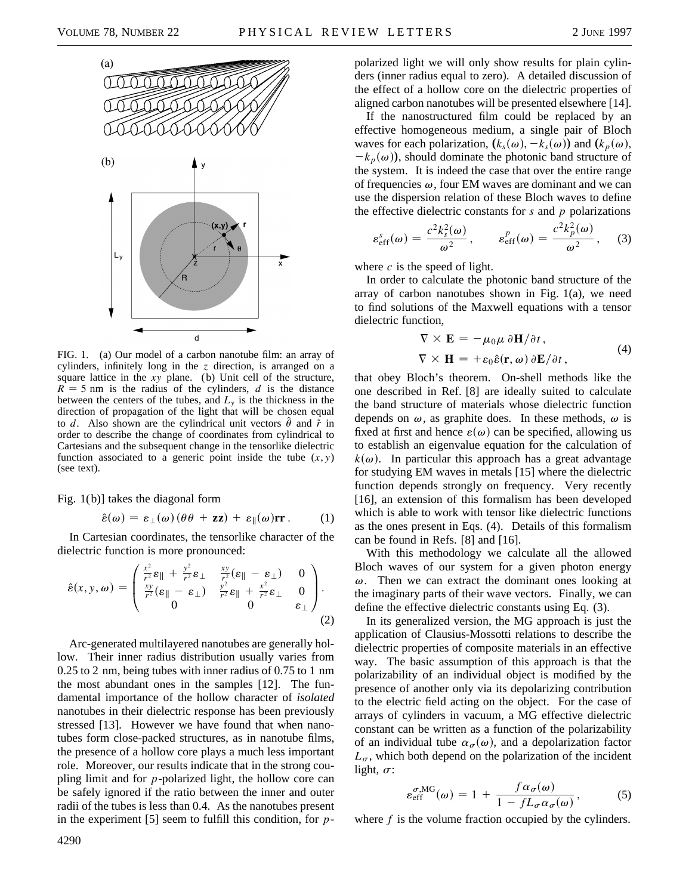

FIG. 1. (a) Our model of a carbon nanotube film: an array of cylinders, infinitely long in the *z* direction, is arranged on a square lattice in the *xy* plane. (b) Unit cell of the structure,  $R = 5$  nm is the radius of the cylinders, *d* is the distance between the centers of the tubes, and  $L<sub>y</sub>$  is the thickness in the direction of propagation of the light that will be chosen equal to *d*. Also shown are the cylindrical unit vectors  $\hat{\theta}$  and  $\hat{r}$  in order to describe the change of coordinates from cylindrical to Cartesians and the subsequent change in the tensorlike dielectric function associated to a generic point inside the tube  $(x, y)$ (see text).

Fig. 1(b)] takes the diagonal form

$$
\hat{\varepsilon}(\omega) = \varepsilon_{\perp}(\omega) (\theta \theta + zz) + \varepsilon_{\parallel}(\omega) \mathbf{r} \,. \tag{1}
$$

In Cartesian coordinates, the tensorlike character of the dielectric function is more pronounced:

$$
\hat{\varepsilon}(x, y, \omega) = \begin{pmatrix} \frac{x^2}{r^2} \varepsilon_{\parallel} + \frac{y^2}{r^2} \varepsilon_{\perp} & \frac{xy}{r^2} (\varepsilon_{\parallel} - \varepsilon_{\perp}) & 0\\ \frac{xy}{r^2} (\varepsilon_{\parallel} - \varepsilon_{\perp}) & \frac{y^2}{r^2} \varepsilon_{\parallel} + \frac{x^2}{r^2} \varepsilon_{\perp} & 0\\ 0 & 0 & \varepsilon_{\perp} \end{pmatrix}.
$$
\n(2)

Arc-generated multilayered nanotubes are generally hollow. Their inner radius distribution usually varies from 0.25 to 2 nm, being tubes with inner radius of 0.75 to 1 nm the most abundant ones in the samples [12]. The fundamental importance of the hollow character of *isolated* nanotubes in their dielectric response has been previously stressed [13]. However we have found that when nanotubes form close-packed structures, as in nanotube films, the presence of a hollow core plays a much less important role. Moreover, our results indicate that in the strong coupling limit and for *p*-polarized light, the hollow core can be safely ignored if the ratio between the inner and outer radii of the tubes is less than 0.4. As the nanotubes present in the experiment [5] seem to fulfill this condition, for *p*- polarized light we will only show results for plain cylinders (inner radius equal to zero). A detailed discussion of the effect of a hollow core on the dielectric properties of aligned carbon nanotubes will be presented elsewhere [14].

If the nanostructured film could be replaced by an effective homogeneous medium, a single pair of Bloch waves for each polarization,  $(k_s(\omega), -k_s(\omega))$  and  $(k_p(\omega))$ ,  $-k_p(\omega)$ , should dominate the photonic band structure of the system. It is indeed the case that over the entire range of frequencies  $\omega$ , four EM waves are dominant and we can use the dispersion relation of these Bloch waves to define the effective dielectric constants for *s* and *p* polarizations

$$
\varepsilon_{\rm eff}^s(\omega) = \frac{c^2 k_s^2(\omega)}{\omega^2}, \qquad \varepsilon_{\rm eff}^p(\omega) = \frac{c^2 k_p^2(\omega)}{\omega^2}, \qquad (3)
$$

where  $c$  is the speed of light.

In order to calculate the photonic band structure of the array of carbon nanotubes shown in Fig. 1(a), we need to find solutions of the Maxwell equations with a tensor dielectric function,

$$
\nabla \times \mathbf{E} = -\mu_0 \mu \, \partial \mathbf{H} / \partial t ,
$$
  
\n
$$
\nabla \times \mathbf{H} = +\varepsilon_0 \hat{\varepsilon}(\mathbf{r}, \omega) \, \partial \mathbf{E} / \partial t ,
$$
 (4)

that obey Bloch's theorem. On-shell methods like the one described in Ref. [8] are ideally suited to calculate the band structure of materials whose dielectric function depends on  $\omega$ , as graphite does. In these methods,  $\omega$  is fixed at first and hence  $\varepsilon(\omega)$  can be specified, allowing us to establish an eigenvalue equation for the calculation of  $k(\omega)$ . In particular this approach has a great advantage for studying EM waves in metals [15] where the dielectric function depends strongly on frequency. Very recently [16], an extension of this formalism has been developed which is able to work with tensor like dielectric functions as the ones present in Eqs. (4). Details of this formalism can be found in Refs. [8] and [16].

With this methodology we calculate all the allowed Bloch waves of our system for a given photon energy  $\omega$ . Then we can extract the dominant ones looking at the imaginary parts of their wave vectors. Finally, we can define the effective dielectric constants using Eq. (3).

In its generalized version, the MG approach is just the application of Clausius-Mossotti relations to describe the dielectric properties of composite materials in an effective way. The basic assumption of this approach is that the polarizability of an individual object is modified by the presence of another only via its depolarizing contribution to the electric field acting on the object. For the case of arrays of cylinders in vacuum, a MG effective dielectric constant can be written as a function of the polarizability of an individual tube  $\alpha_{\sigma}(\omega)$ , and a depolarization factor  $L_{\sigma}$ , which both depend on the polarization of the incident light,  $\sigma$ :

$$
\varepsilon_{\rm eff}^{\sigma, \rm MG}(\omega) = 1 + \frac{f \alpha_{\sigma}(\omega)}{1 - f L_{\sigma} \alpha_{\sigma}(\omega)}, \tag{5}
$$

where *f* is the volume fraction occupied by the cylinders.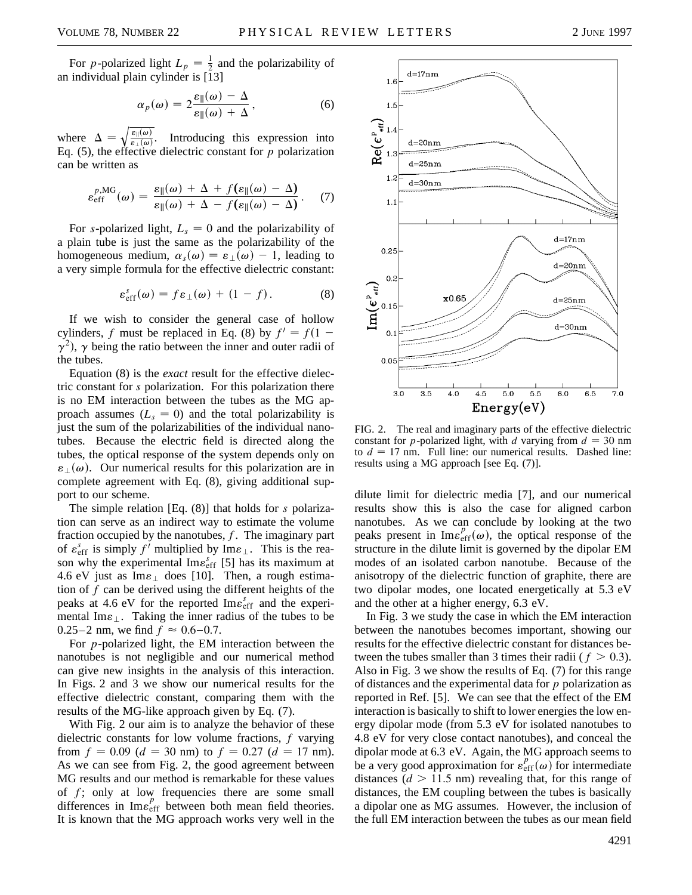$d = 17nm$ 

1.6

 $1.5$ 

$$
\alpha_p(\omega) = 2 \frac{\varepsilon_{\parallel}(\omega) - \Delta}{\varepsilon_{\parallel}(\omega) + \Delta},
$$
\n(6)

where  $\Delta =$  $\sqrt{\frac{\varepsilon_{\parallel}(\omega)}{\varepsilon_{\perp}(\omega)}}$ Introducing this expression into Eq. (5), the effective dielectric constant for *p* polarization can be written as

$$
\varepsilon_{\text{eff}}^{p,\text{MG}}(\omega) = \frac{\varepsilon_{\parallel}(\omega) + \Delta + f(\varepsilon_{\parallel}(\omega) - \Delta)}{\varepsilon_{\parallel}(\omega) + \Delta - f(\varepsilon_{\parallel}(\omega) - \Delta)}.\tag{7}
$$

For *s*-polarized light,  $L_s = 0$  and the polarizability of a plain tube is just the same as the polarizability of the homogeneous medium,  $\alpha_s(\omega) = \varepsilon_{\perp}(\omega) - 1$ , leading to a very simple formula for the effective dielectric constant:

$$
\varepsilon_{\rm eff}^s(\omega) = f \varepsilon_{\perp}(\omega) + (1 - f). \tag{8}
$$

If we wish to consider the general case of hollow cylinders, *f* must be replaced in Eq. (8) by  $f' = f(1 \gamma^2$ ),  $\gamma$  being the ratio between the inner and outer radii of the tubes.

Equation (8) is the *exact* result for the effective dielectric constant for *s* polarization. For this polarization there is no EM interaction between the tubes as the MG approach assumes  $(L<sub>s</sub> = 0)$  and the total polarizability is just the sum of the polarizabilities of the individual nanotubes. Because the electric field is directed along the tubes, the optical response of the system depends only on  $\varepsilon_{\perp}(\omega)$ . Our numerical results for this polarization are in complete agreement with Eq. (8), giving additional support to our scheme.

The simple relation [Eq. (8)] that holds for *s* polarization can serve as an indirect way to estimate the volume fraction occupied by the nanotubes, *f*. The imaginary part of  $\varepsilon_{\text{eff}}^s$  is simply  $f^{\prime}$  multiplied by  $\text{Im}\varepsilon_{\perp}$ . This is the reason why the experimental  $\text{Im} \varepsilon_{\text{eff}}^{s}$  [5] has its maximum at 4.6 eV just as  $\text{Im}\varepsilon_{\perp}$  does [10]. Then, a rough estimation of *f* can be derived using the different heights of the peaks at 4.6 eV for the reported Im $\varepsilon_{\text{eff}}^{s}$  and the experimental Im $\varepsilon_{\perp}$ . Taking the inner radius of the tubes to be 0.25–2 nm, we find  $f \approx 0.6 - 0.7$ .

For *p*-polarized light, the EM interaction between the nanotubes is not negligible and our numerical method can give new insights in the analysis of this interaction. In Figs. 2 and 3 we show our numerical results for the effective dielectric constant, comparing them with the results of the MG-like approach given by Eq. (7).

With Fig. 2 our aim is to analyze the behavior of these dielectric constants for low volume fractions, *f* varying from  $f = 0.09$  ( $d = 30$  nm) to  $f = 0.27$  ( $d = 17$  nm). As we can see from Fig. 2, the good agreement between MG results and our method is remarkable for these values of *f*; only at low frequencies there are some small differences in  $\text{Im} \varepsilon_{\text{eff}}^p$  between both mean field theories. It is known that the MG approach works very well in the



 $\mathcal{R}$   $\begin{pmatrix} e^{i\theta} & 1.4 \\ 0 & 1.3 \end{pmatrix}$  $d = 20n$  $d = 25nm$  $1.\overline{z}$  $d = 30n$ m  $1.1$  $d = 17nm$ 0.25  $d = 20n$ m  $0.2$  $\mathrm{Im}(\boldsymbol{\epsilon}_{\ \ \epsilon \mathsf{rf}}^{\mathrm{p}})$  $x0.65$ d=25nm 0.15  $d = 30nm$  $0$ .  $0.05$  $3.0$ 3.5  $4.0$  $5.0$ 5.5  $_{\rm 6.0}$  $6.5\,$  $7.0$ 4.5  $Energy(eV)$ 

FIG. 2. The real and imaginary parts of the effective dielectric constant for *p*-polarized light, with *d* varying from  $d = 30$  nm to  $d = 17$  nm. Full line: our numerical results. Dashed line: results using a MG approach [see Eq. (7)].

dilute limit for dielectric media [7], and our numerical results show this is also the case for aligned carbon nanotubes. As we can conclude by looking at the two peaks present in  $\text{Im} \varepsilon_{\text{eff}}^p(\omega)$ , the optical response of the structure in the dilute limit is governed by the dipolar EM modes of an isolated carbon nanotube. Because of the anisotropy of the dielectric function of graphite, there are two dipolar modes, one located energetically at 5.3 eV and the other at a higher energy, 6.3 eV.

In Fig. 3 we study the case in which the EM interaction between the nanotubes becomes important, showing our results for the effective dielectric constant for distances between the tubes smaller than 3 times their radii ( $f > 0.3$ ). Also in Fig. 3 we show the results of Eq. (7) for this range of distances and the experimental data for *p* polarization as reported in Ref. [5]. We can see that the effect of the EM interaction is basically to shift to lower energies the low energy dipolar mode (from 5.3 eV for isolated nanotubes to 4.8 eV for very close contact nanotubes), and conceal the dipolar mode at 6.3 eV. Again, the MG approach seems to be a very good approximation for  $\varepsilon_{eff}^{p}(\omega)$  for intermediate distances  $(d > 11.5 \text{ nm})$  revealing that, for this range of distances, the EM coupling between the tubes is basically a dipolar one as MG assumes. However, the inclusion of the full EM interaction between the tubes as our mean field